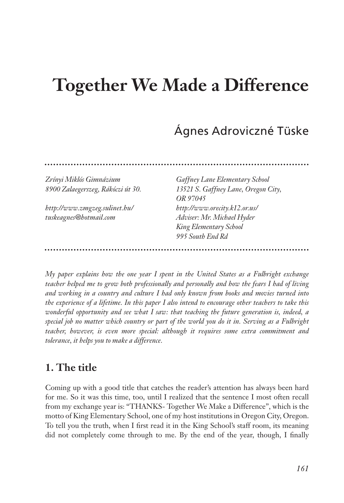# **Together We Made a Difference**

# Ágnes Adroviczné Tüske

| Zrínyi Miklós Gimnázium           | <b>Gaffney Lane Elementary School</b> |
|-----------------------------------|---------------------------------------|
| 8900 Zalaegerszeg, Rákóczi út 30. | 13521 S. Gaffney Lane, Oregon City,   |
|                                   | OR 97045                              |
| http://www.zmgzeg.sulinet.hu/     | http://www.orecity.k12.or.us/         |
| tuskeagnes@hotmail.com            | Adviser: Mr. Michael Hyder            |
|                                   | King Elementary School                |
|                                   | 995 South End Rd                      |
|                                   |                                       |

*My paper explains how the one year I spent in the United States as a Fulbright exchange teacher helped me to grow both professionally and personally and how the fears I had of living and working in a country and culture I had only known from books and movies turned into the experience of a lifetime. In this paper I also intend to encourage other teachers to take this wonderful opportunity and see what I saw: that teaching the future generation is, indeed, a special job no matter which country or part of the world you do it in. Serving as a Fulbright teacher, however, is even more special: although it requires some extra commitment and tolerance, it helps you to make a difference.* 

## **1. The title**

Coming up with a good title that catches the reader's attention has always been hard for me. So it was this time, too, until I realized that the sentence I most often recall from my exchange year is: "THANKS- Together We Make a Difference", which is the motto of King Elementary School, one of my host institutions in Oregon City, Oregon. To tell you the truth, when I first read it in the King School's staff room, its meaning did not completely come through to me. By the end of the year, though, I finally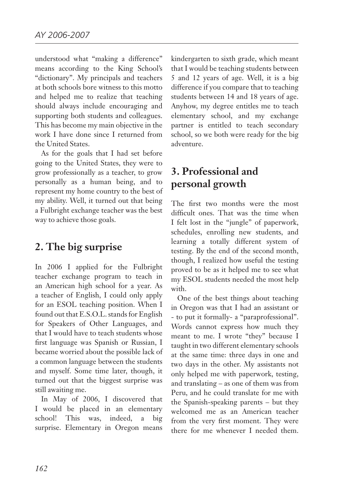understood what "making a difference" means according to the King School's "dictionary". My principals and teachers at both schools bore witness to this motto and helped me to realize that teaching should always include encouraging and supporting both students and colleagues. This has become my main objective in the work I have done since I returned from the United States.

As for the goals that I had set before going to the United States, they were to grow professionally as a teacher, to grow personally as a human being, and to represent my home country to the best of my ability. Well, it turned out that being a Fulbright exchange teacher was the best way to achieve those goals.

#### **2. The big surprise**

In 2006 I applied for the Fulbright teacher exchange program to teach in an American high school for a year. As a teacher of English, I could only apply for an ESOL teaching position. When I found out that E.S.O.L. stands for English for Speakers of Other Languages, and that I would have to teach students whose first language was Spanish or Russian, I became worried about the possible lack of a common language between the students and myself. Some time later, though, it turned out that the biggest surprise was still awaiting me.

In May of 2006, I discovered that I would be placed in an elementary school! This was, indeed, a big surprise. Elementary in Oregon means

kindergarten to sixth grade, which meant that I would be teaching students between 5 and 12 years of age. Well, it is a big difference if you compare that to teaching students between 14 and 18 years of age. Anyhow, my degree entitles me to teach elementary school, and my exchange partner is entitled to teach secondary school, so we both were ready for the big adventure.

#### **3. Professional and personal growth**

The first two months were the most difficult ones. That was the time when I felt lost in the "jungle" of paperwork, schedules, enrolling new students, and learning a totally different system of testing. By the end of the second month, though, I realized how useful the testing proved to be as it helped me to see what my ESOL students needed the most help with.

One of the best things about teaching in Oregon was that I had an assistant or - to put it formally- a "paraprofessional". Words cannot express how much they meant to me. I wrote "they" because I taught in two different elementary schools at the same time: three days in one and two days in the other. My assistants not only helped me with paperwork, testing, and translating – as one of them was from Peru, and he could translate for me with the Spanish-speaking parents – but they welcomed me as an American teacher from the very first moment. They were there for me whenever I needed them.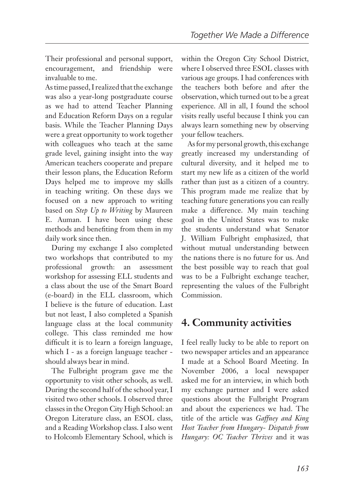Their professional and personal support, encouragement, and friendship were invaluable to me.

As time passed, I realized that the exchange was also a year-long postgraduate course as we had to attend Teacher Planning and Education Reform Days on a regular basis. While the Teacher Planning Days were a great opportunity to work together with colleagues who teach at the same grade level, gaining insight into the way American teachers cooperate and prepare their lesson plans, the Education Reform Days helped me to improve my skills in teaching writing. On these days we focused on a new approach to writing based on *Step Up to Writing* by Maureen E. Auman. I have been using these methods and benefiting from them in my daily work since then.

During my exchange I also completed two workshops that contributed to my professional growth: an assessment workshop for assessing ELL students and a class about the use of the Smart Board (e-board) in the ELL classroom, which I believe is the future of education. Last but not least, I also completed a Spanish language class at the local community college. This class reminded me how difficult it is to learn a foreign language, which I - as a foreign language teacher should always bear in mind.

The Fulbright program gave me the opportunity to visit other schools, as well. During the second half of the school year, I visited two other schools. I observed three classes in the Oregon City High School: an Oregon Literature class, an ESOL class, and a Reading Workshop class. I also went to Holcomb Elementary School, which is within the Oregon City School District, where I observed three ESOL classes with various age groups. I had conferences with the teachers both before and after the observation, which turned out to be a great experience. All in all, I found the school visits really useful because I think you can always learn something new by observing your fellow teachers.

As for my personal growth, this exchange greatly increased my understanding of cultural diversity, and it helped me to start my new life as a citizen of the world rather than just as a citizen of a country. This program made me realize that by teaching future generations you can really make a difference. My main teaching goal in the United States was to make the students understand what Senator J. William Fulbright emphasized, that without mutual understanding between the nations there is no future for us. And the best possible way to reach that goal was to be a Fulbright exchange teacher, representing the values of the Fulbright Commission.

#### **4. Community activities**

I feel really lucky to be able to report on two newspaper articles and an appearance I made at a School Board Meeting. In November 2006, a local newspaper asked me for an interview, in which both my exchange partner and I were asked questions about the Fulbright Program and about the experiences we had. The title of the article was *Gaffney and King Host Teacher from Hungary- Dispatch from Hungary: OC Teacher Thrives* and it was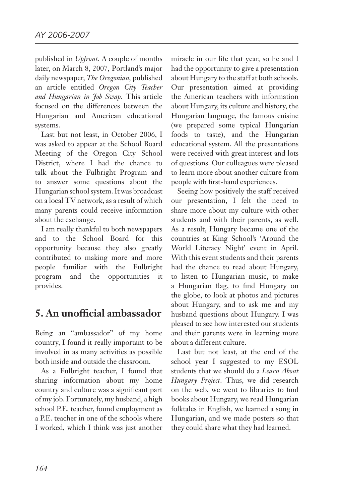published in *Upfront*. A couple of months later, on March 8, 2007, Portland's major daily newspaper, *The Oregonian,* published an article entitled *Oregon City Teacher and Hungarian in Job Swap*. This article focused on the differences between the Hungarian and American educational systems.

Last but not least, in October 2006, I was asked to appear at the School Board Meeting of the Oregon City School District, where I had the chance to talk about the Fulbright Program and to answer some questions about the Hungarian school system. It was broadcast on a local TV network, as a result of which many parents could receive information about the exchange.

I am really thankful to both newspapers and to the School Board for this opportunity because they also greatly contributed to making more and more people familiar with the Fulbright program and the opportunities it provides.

## **5. An unofficial ambassador**

Being an "ambassador" of my home country, I found it really important to be involved in as many activities as possible both inside and outside the classroom.

As a Fulbright teacher, I found that sharing information about my home country and culture was a significant part of my job. Fortunately, my husband, a high school P.E. teacher, found employment as a P.E. teacher in one of the schools where I worked, which I think was just another

miracle in our life that year, so he and I had the opportunity to give a presentation about Hungary to the staff at both schools. Our presentation aimed at providing the American teachers with information about Hungary, its culture and history, the Hungarian language, the famous cuisine (we prepared some typical Hungarian foods to taste), and the Hungarian educational system. All the presentations were received with great interest and lots of questions. Our colleagues were pleased to learn more about another culture from people with first-hand experiences.

Seeing how positively the staff received our presentation, I felt the need to share more about my culture with other students and with their parents, as well. As a result, Hungary became one of the countries at King School's 'Around the World Literacy Night' event in April. With this event students and their parents had the chance to read about Hungary, to listen to Hungarian music, to make a Hungarian flag, to find Hungary on the globe, to look at photos and pictures about Hungary, and to ask me and my husband questions about Hungary. I was pleased to see how interested our students and their parents were in learning more about a different culture.

Last but not least, at the end of the school year I suggested to my ESOL students that we should do a *Learn About Hungary Project*. Thus, we did research on the web, we went to libraries to find books about Hungary, we read Hungarian folktales in English, we learned a song in Hungarian, and we made posters so that they could share what they had learned.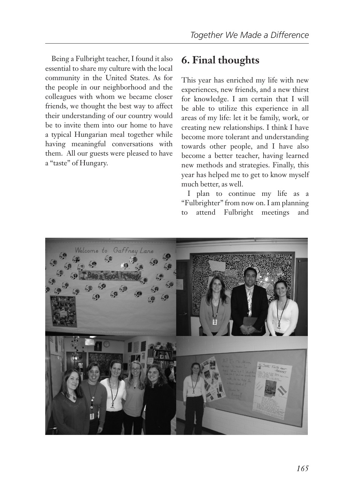Being a Fulbright teacher, I found it also essential to share my culture with the local community in the United States. As for the people in our neighborhood and the colleagues with whom we became closer friends, we thought the best way to affect their understanding of our country would be to invite them into our home to have a typical Hungarian meal together while having meaningful conversations with them. All our guests were pleased to have a "taste" of Hungary.

#### **6. Final thoughts**

This year has enriched my life with new experiences, new friends, and a new thirst for knowledge. I am certain that I will be able to utilize this experience in all areas of my life: let it be family, work, or creating new relationships. I think I have become more tolerant and understanding towards other people, and I have also become a better teacher, having learned new methods and strategies. Finally, this year has helped me to get to know myself much better, as well.

I plan to continue my life as a "Fulbrighter" from now on. I am planning to attend Fulbright meetings and